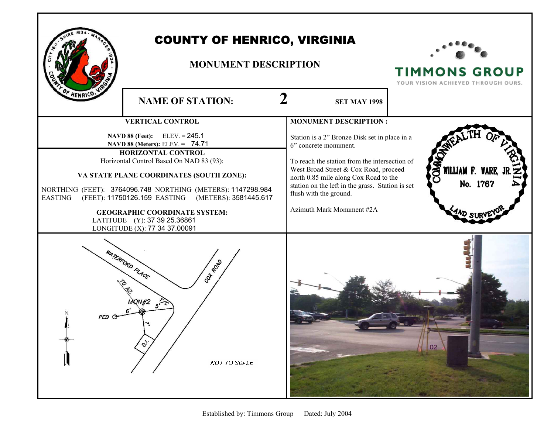

## COUNTY OF HENRICO, VIRGINIA

## **MONUMENT DESCRIPTION**



**TIMMONS GROUP** YOUR VISION ACHIEVED THROUGH OURS.

**NAME OF STATION:** 2 SET MAY 1998 **MONUMENT DESCRIPTION :** Station is a 2" Bronze Disk set in place in a  **NAVD 88 (Meters):** ELEV. = 74.71 6" concrete monument. **HORIZONTAL CONTROL** Horizontal Control Based On NAD 83 (93): To reach the station from the intersection of West Broad Street & Cox Road, proceed **WILLIAM F. WAR VA STATE PLANE COORDINATES (SOUTH ZONE):**  north 0.85 mile along Cox Road to the No. 1767 station on the left in the grass. Station is set NORTHING (FEET): 3764096.748 NORTHING (METERS): 1147298.984 flush with the ground. EASTING (FEET): 11750126.159 EASTING (METERS): 3581445.617 Azimuth Mark Monument #2A **GEOGRAPHIC COORDINATE SYSTEM: WATERFORD RIACE Cot** Road QN#2 PED C NOT TO SCALE